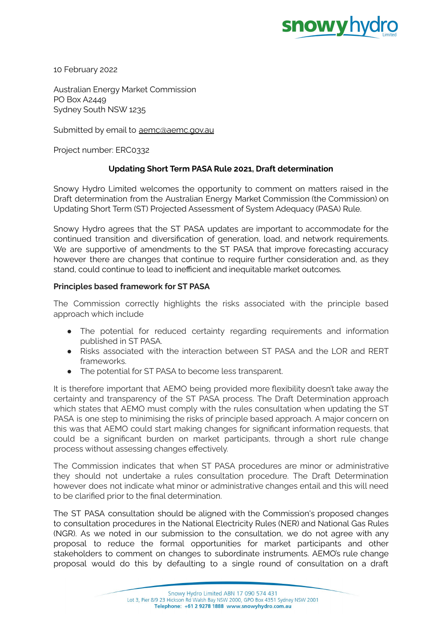

10 February 2022

Australian Energy Market Commission PO Box A2449 Sydney South NSW 1235

Submitted by email to [aemc@aemc.gov.au](mailto:aemc@aemc.gov.au)

Project number: ERC0332

# **Updating Short Term PASA Rule 2021, Draft determination**

Snowy Hydro Limited welcomes the opportunity to comment on matters raised in the Draft determination from the Australian Energy Market Commission (the Commission) on Updating Short Term (ST) Projected Assessment of System Adequacy (PASA) Rule.

Snowy Hydro agrees that the ST PASA updates are important to accommodate for the continued transition and diversification of generation, load, and network requirements. We are supportive of amendments to the ST PASA that improve forecasting accuracy however there are changes that continue to require further consideration and, as they stand, could continue to lead to inefficient and inequitable market outcomes.

### **Principles based framework for ST PASA**

The Commission correctly highlights the risks associated with the principle based approach which include

- The potential for reduced certainty regarding requirements and information published in ST PASA.
- Risks associated with the interaction between ST PASA and the LOR and RERT frameworks.
- The potential for ST PASA to become less transparent.

It is therefore important that AEMO being provided more flexibility doesn't take away the certainty and transparency of the ST PASA process. The Draft Determination approach which states that AEMO must comply with the rules consultation when updating the ST PASA is one step to minimising the risks of principle based approach. A major concern on this was that AEMO could start making changes for significant information requests, that could be a significant burden on market participants, through a short rule change process without assessing changes effectively.

The Commission indicates that when ST PASA procedures are minor or administrative they should not undertake a rules consultation procedure. The Draft Determination however does not indicate what minor or administrative changes entail and this will need to be clarified prior to the final determination.

The ST PASA consultation should be aligned with the Commission's proposed changes to consultation procedures in the National Electricity Rules (NER) and National Gas Rules (NGR). As we noted in our submission to the consultation, we do not agree with any proposal to reduce the formal opportunities for market participants and other stakeholders to comment on changes to subordinate instruments. AEMO's rule change proposal would do this by defaulting to a single round of consultation on a draft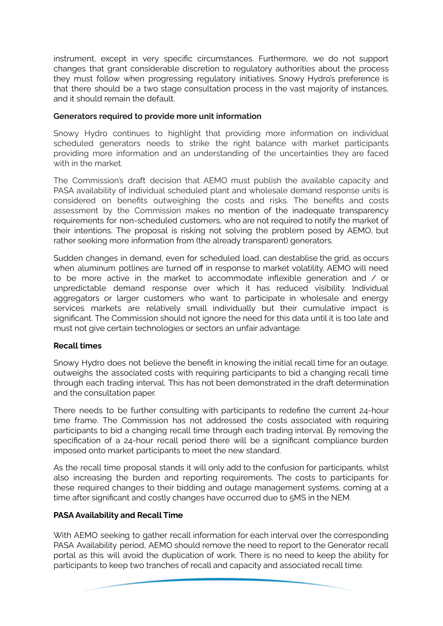instrument, except in very specific circumstances. Furthermore, we do not support changes that grant considerable discretion to regulatory authorities about the process they must follow when progressing regulatory initiatives. Snowy Hydro's preference is that there should be a two stage consultation process in the vast majority of instances, and it should remain the default.

# **Generators required to provide more unit information**

Snowy Hydro continues to highlight that providing more information on individual scheduled generators needs to strike the right balance with market participants providing more information and an understanding of the uncertainties they are faced with in the market.

The Commission's draft decision that AEMO must publish the available capacity and PASA availability of individual scheduled plant and wholesale demand response units is considered on benefits outweighing the costs and risks. The benefits and costs assessment by the Commission makes no mention of the inadequate transparency requirements for non-scheduled customers, who are not required to notify the market of their intentions. The proposal is risking not solving the problem posed by AEMO, but rather seeking more information from (the already transparent) generators.

Sudden changes in demand, even for scheduled load, can destablise the grid, as occurs when aluminum potlines are turned off in response to market volatility. AEMO will need to be more active in the market to accommodate inflexible generation and / or unpredictable demand response over which it has reduced visibility. Individual aggregators or larger customers who want to participate in wholesale and energy services markets are relatively small individually but their cumulative impact is significant. The Commission should not ignore the need for this data until it is too late and must not give certain technologies or sectors an unfair advantage.

### **Recall times**

Snowy Hydro does not believe the benefit in knowing the initial recall time for an outage, outweighs the associated costs with requiring participants to bid a changing recall time through each trading interval. This has not been demonstrated in the draft determination and the consultation paper.

There needs to be further consulting with participants to redefine the current 24-hour time frame. The Commission has not addressed the costs associated with requiring participants to bid a changing recall time through each trading interval. By removing the specification of a 24-hour recall period there will be a significant compliance burden imposed onto market participants to meet the new standard.

As the recall time proposal stands it will only add to the confusion for participants, whilst also increasing the burden and reporting requirements. The costs to participants for these required changes to their bidding and outage management systems, coming at a time after significant and costly changes have occurred due to 5MS in the NEM.

### **PASA Availability and Recall Time**

With AEMO seeking to gather recall information for each interval over the corresponding PASA Availability period, AEMO should remove the need to report to the Generator recall portal as this will avoid the duplication of work. There is no need to keep the ability for participants to keep two tranches of recall and capacity and associated recall time.